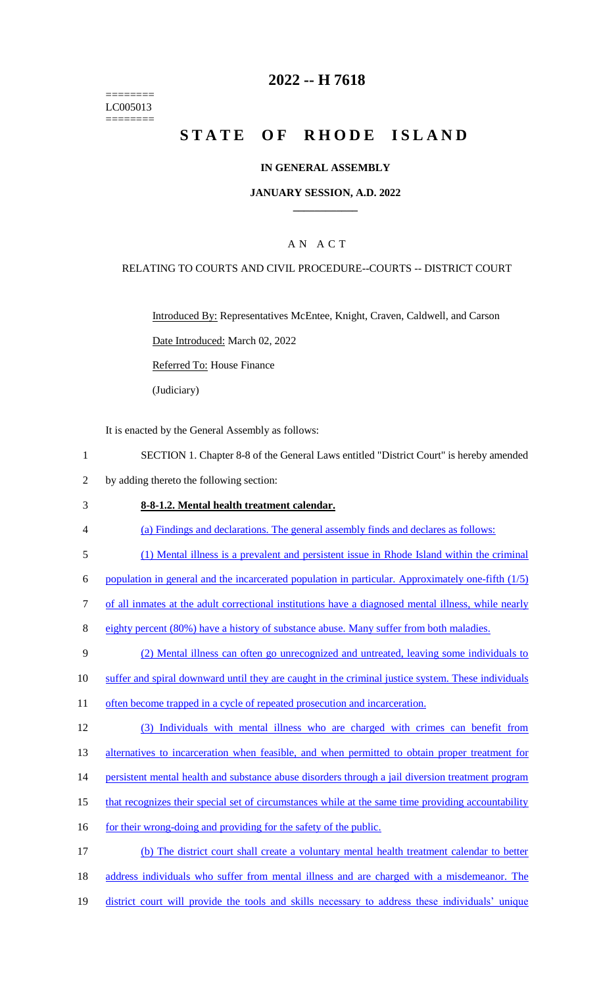======== LC005013 ========

# **2022 -- H 7618**

# **STATE OF RHODE ISLAND**

### **IN GENERAL ASSEMBLY**

### **JANUARY SESSION, A.D. 2022 \_\_\_\_\_\_\_\_\_\_\_\_**

## A N A C T

### RELATING TO COURTS AND CIVIL PROCEDURE--COURTS -- DISTRICT COURT

Introduced By: Representatives McEntee, Knight, Craven, Caldwell, and Carson

Date Introduced: March 02, 2022

Referred To: House Finance

(Judiciary)

It is enacted by the General Assembly as follows:

- 1 SECTION 1. Chapter 8-8 of the General Laws entitled "District Court" is hereby amended
- 2 by adding thereto the following section:

#### 3 **8-8-1.2. Mental health treatment calendar.**

- 4 (a) Findings and declarations. The general assembly finds and declares as follows:
- 5 (1) Mental illness is a prevalent and persistent issue in Rhode Island within the criminal

6 population in general and the incarcerated population in particular. Approximately one-fifth (1/5)

- 7 of all inmates at the adult correctional institutions have a diagnosed mental illness, while nearly
- 8 eighty percent (80%) have a history of substance abuse. Many suffer from both maladies.
- 9 (2) Mental illness can often go unrecognized and untreated, leaving some individuals to
- 10 suffer and spiral downward until they are caught in the criminal justice system. These individuals
- 11 often become trapped in a cycle of repeated prosecution and incarceration.
- 12 (3) Individuals with mental illness who are charged with crimes can benefit from

13 alternatives to incarceration when feasible, and when permitted to obtain proper treatment for

- 14 persistent mental health and substance abuse disorders through a jail diversion treatment program
- 15 that recognizes their special set of circumstances while at the same time providing accountability
- 16 for their wrong-doing and providing for the safety of the public.

17 (b) The district court shall create a voluntary mental health treatment calendar to better 18 address individuals who suffer from mental illness and are charged with a misdemeanor. The 19 district court will provide the tools and skills necessary to address these individuals' unique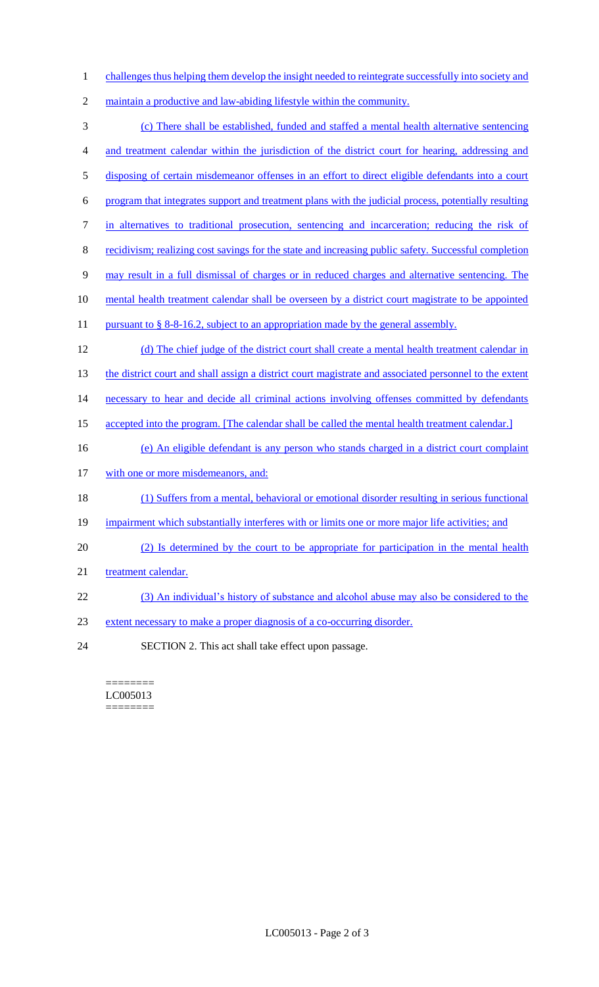- 1 challenges thus helping them develop the insight needed to reintegrate successfully into society and
- 2 maintain a productive and law-abiding lifestyle within the community.
- 3 (c) There shall be established, funded and staffed a mental health alternative sentencing 4 and treatment calendar within the jurisdiction of the district court for hearing, addressing and 5 disposing of certain misdemeanor offenses in an effort to direct eligible defendants into a court 6 program that integrates support and treatment plans with the judicial process, potentially resulting 7 in alternatives to traditional prosecution, sentencing and incarceration; reducing the risk of 8 recidivism; realizing cost savings for the state and increasing public safety. Successful completion 9 may result in a full dismissal of charges or in reduced charges and alternative sentencing. The 10 mental health treatment calendar shall be overseen by a district court magistrate to be appointed 11 pursuant to § 8-8-16.2, subject to an appropriation made by the general assembly. 12 (d) The chief judge of the district court shall create a mental health treatment calendar in 13 the district court and shall assign a district court magistrate and associated personnel to the extent 14 necessary to hear and decide all criminal actions involving offenses committed by defendants 15 accepted into the program. [The calendar shall be called the mental health treatment calendar.] 16 (e) An eligible defendant is any person who stands charged in a district court complaint 17 with one or more misdemeanors, and: 18 (1) Suffers from a mental, behavioral or emotional disorder resulting in serious functional 19 impairment which substantially interferes with or limits one or more major life activities; and 20 (2) Is determined by the court to be appropriate for participation in the mental health 21 treatment calendar. 22 (3) An individual's history of substance and alcohol abuse may also be considered to the 23 extent necessary to make a proper diagnosis of a co-occurring disorder. 24 SECTION 2. This act shall take effect upon passage.

======== LC005013 ========